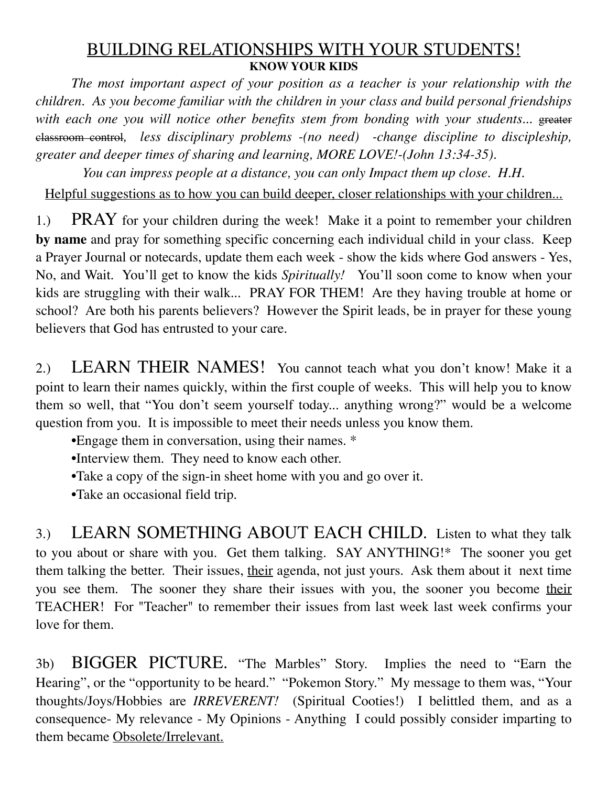# BUILDING RELATIONSHIPS WITH YOUR STUDENTS! **KNOW YOUR KIDS**

*The most important aspect of your position as a teacher is your relationship with the children. As you become familiar with the children in your class and build personal friendships*  with each one you will notice other benefits stem from bonding with your students... greater classroom control*, less disciplinary problems -(no need) -change discipline to discipleship, greater and deeper times of sharing and learning, MORE LOVE!-(John 13:34-35).*

*You can impress people at a distance, you can only Impact them up close. H.H.*

Helpful suggestions as to how you can build deeper, closer relationships with your children...

1.) PRAY for your children during the week! Make it a point to remember your children **by name** and pray for something specific concerning each individual child in your class. Keep a Prayer Journal or notecards, update them each week - show the kids where God answers - Yes, No, and Wait. You'll get to know the kids *Spiritually!* You'll soon come to know when your kids are struggling with their walk... PRAY FOR THEM! Are they having trouble at home or school? Are both his parents believers? However the Spirit leads, be in prayer for these young believers that God has entrusted to your care.

2.) LEARN THEIR NAMES! You cannot teach what you don't know! Make it a point to learn their names quickly, within the first couple of weeks. This will help you to know them so well, that "You don't seem yourself today... anything wrong?" would be a welcome question from you. It is impossible to meet their needs unless you know them.

•Engage them in conversation, using their names. \*

•Interview them. They need to know each other.

•Take a copy of the sign-in sheet home with you and go over it.

•Take an occasional field trip.

3.) LEARN SOMETHING ABOUT EACH CHILD. Listen to what they talk to you about or share with you. Get them talking. SAY ANYTHING!\* The sooner you get them talking the better. Their issues, their agenda, not just yours. Ask them about it next time you see them. The sooner they share their issues with you, the sooner you become their TEACHER! For "Teacher" to remember their issues from last week last week confirms your love for them.

3b) BIGGER PICTURE. "The Marbles" Story. Implies the need to "Earn the Hearing", or the "opportunity to be heard." "Pokemon Story." My message to them was, "Your thoughts/Joys/Hobbies are *IRREVERENT!* (Spiritual Cooties!) I belittled them, and as a consequence- My relevance - My Opinions - Anything I could possibly consider imparting to them became Obsolete/Irrelevant.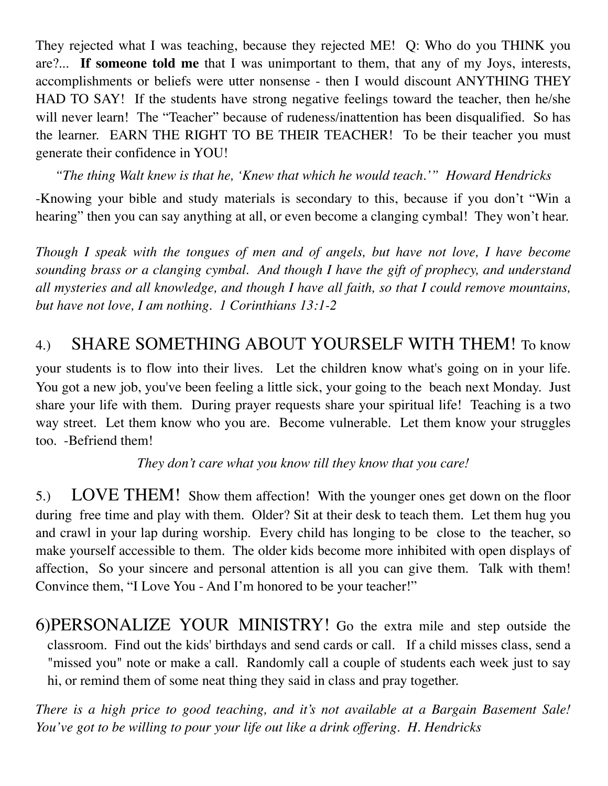They rejected what I was teaching, because they rejected ME! Q: Who do you THINK you are?... **If someone told me** that I was unimportant to them, that any of my Joys, interests, accomplishments or beliefs were utter nonsense - then I would discount ANYTHING THEY HAD TO SAY! If the students have strong negative feelings toward the teacher, then he/she will never learn! The "Teacher" because of rudeness/inattention has been disqualified. So has the learner. EARN THE RIGHT TO BE THEIR TEACHER! To be their teacher you must generate their confidence in YOU!

*"The thing Walt knew is that he, 'Knew that which he would teach.'" Howard Hendricks*

-Knowing your bible and study materials is secondary to this, because if you don't "Win a hearing" then you can say anything at all, or even become a clanging cymbal! They won't hear.

*Though I speak with the tongues of men and of angels, but have not love, I have become sounding brass or a clanging cymbal. And though I have the gift of prophecy, and understand all mysteries and all knowledge, and though I have all faith, so that I could remove mountains, but have not love, I am nothing. 1 Corinthians 13:1-2*

# 4.) SHARE SOMETHING ABOUT YOURSELF WITH THEM! To know

your students is to flow into their lives. Let the children know what's going on in your life. You got a new job, you've been feeling a little sick, your going to the beach next Monday. Just share your life with them. During prayer requests share your spiritual life! Teaching is a two way street. Let them know who you are. Become vulnerable. Let them know your struggles too. -Befriend them!

*They don't care what you know till they know that you care!*

5.) LOVE THEM! Show them affection! With the younger ones get down on the floor during free time and play with them. Older? Sit at their desk to teach them. Let them hug you and crawl in your lap during worship. Every child has longing to be close to the teacher, so make yourself accessible to them. The older kids become more inhibited with open displays of affection, So your sincere and personal attention is all you can give them. Talk with them! Convince them, "I Love You - And I'm honored to be your teacher!"

6)PERSONALIZE YOUR MINISTRY! Go the extra mile and step outside the classroom. Find out the kids' birthdays and send cards or call. If a child misses class, send a "missed you" note or make a call. Randomly call a couple of students each week just to say hi, or remind them of some neat thing they said in class and pray together.

*There is a high price to good teaching, and it's not available at a Bargain Basement Sale! You've got to be willing to pour your life out like a drink offering. H. Hendricks*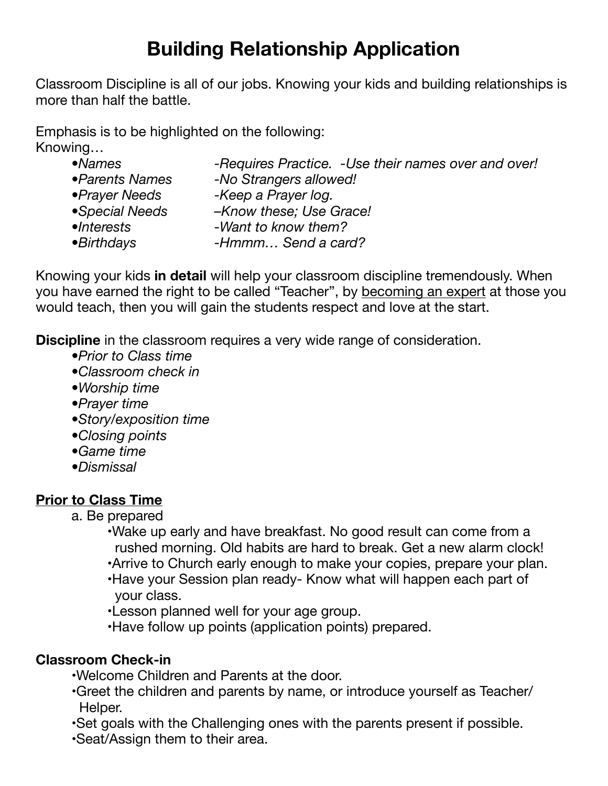# **Building Relationship Application**

Classroom Discipline is all of our jobs. Knowing your kids and building relationships is more than half the battle.

Emphasis is to be highlighted on the following: Knowing…

- •Names *-Requires Practice. -Use their names over and over! •Parents Names -No Strangers allowed!*
- *•Prayer Needs -Keep a Prayer log.*
- 
- *•Special Needs –Know these; Use Grace!*
- *•Interests -Want to know them?*
- *•Birthdays -Hmmm… Send a card?* 
	-

Knowing your kids **in detail** will help your classroom discipline tremendously. When you have earned the right to be called "Teacher", by becoming an expert at those you would teach, then you will gain the students respect and love at the start.

**Discipline** in the classroom requires a very wide range of consideration.

- *•Prior to Class time*
- *•Classroom check in*
- *•Worship time*
- *•Prayer time*
- *•Story/exposition time*
- *•Closing points*
- *•Game time*
- *•Dismissal*

# **Prior to Class Time**

- a. Be prepared
	- •Wake up early and have breakfast. No good result can come from a rushed morning. Old habits are hard to break. Get a new alarm clock!
	- •Arrive to Church early enough to make your copies, prepare your plan.
	- •Have your Session plan ready- Know what will happen each part of your class.
	- •Lesson planned well for your age group.
	- •Have follow up points (application points) prepared.

# **Classroom Check-in**

- •Welcome Children and Parents at the door.
- •Greet the children and parents by name, or introduce yourself as Teacher/ Helper.
- •Set goals with the Challenging ones with the parents present if possible.
- •Seat/Assign them to their area.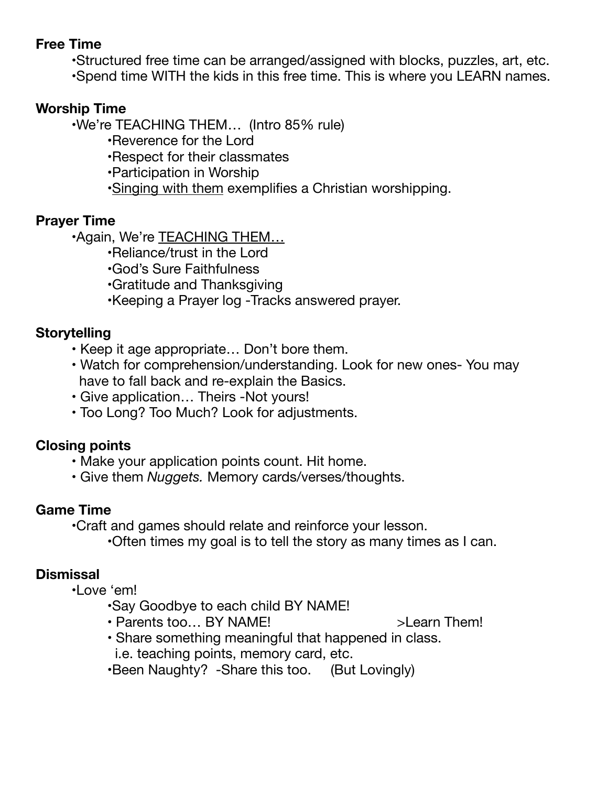## **Free Time**

- •Structured free time can be arranged/assigned with blocks, puzzles, art, etc.
- •Spend time WITH the kids in this free time. This is where you LEARN names.

## **Worship Time**

 •We're TEACHING THEM… (Intro 85% rule)

- •Reverence for the Lord
- •Respect for their classmates
- •Participation in Worship
- •Singing with them exemplifies a Christian worshipping.

## **Prayer Time**

 •Again, We're TEACHING THEM…

- •Reliance/trust in the Lord
- •God's Sure Faithfulness
- •Gratitude and Thanksgiving
- •Keeping a Prayer log -Tracks answered prayer.

## **Storytelling**

- Keep it age appropriate… Don't bore them.
- Watch for comprehension/understanding. Look for new ones- You may have to fall back and re-explain the Basics.
- Give application… Theirs -Not yours!
- Too Long? Too Much? Look for adjustments.

### **Closing points**

- Make your application points count. Hit home.
- Give them *Nuggets.* Memory cards/verses/thoughts.

# **Game Time**

 •Craft and games should relate and reinforce your lesson.

 •Often times my goal is to tell the story as many times as I can.

# **Dismissal**

 •Love 'em!

- •Say Goodbye to each child BY NAME!
- Parents too... BY NAME! >Learn Them!
	-
- Share something meaningful that happened in class. i.e. teaching points, memory card, etc.
- •Been Naughty? -Share this too. (But Lovingly)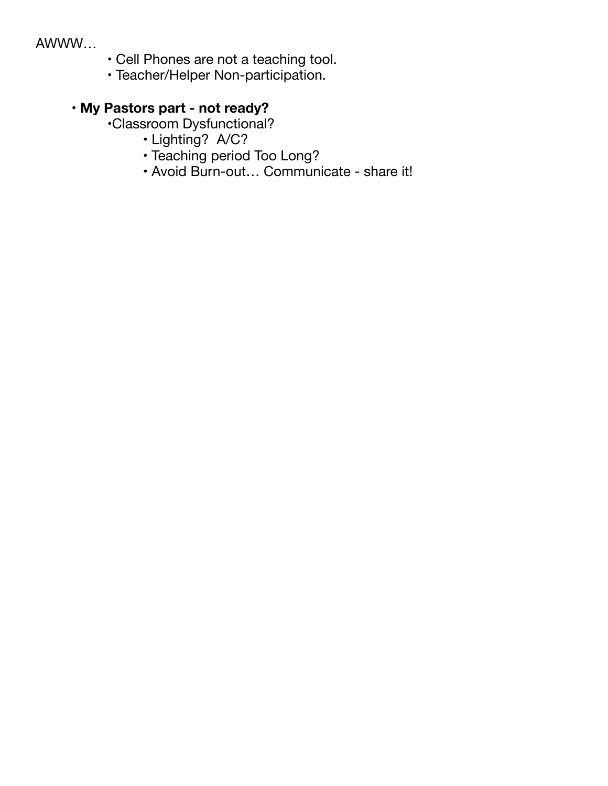#### AWWW…

- Cell Phones are not a teaching tool.
- Teacher/Helper Non-participation.

# **• My Pastors part - not ready?**

- •Classroom Dysfunctional?
	- Lighting? A/C?
	- Teaching period Too Long?
	- Avoid Burn-out… Communicate share it!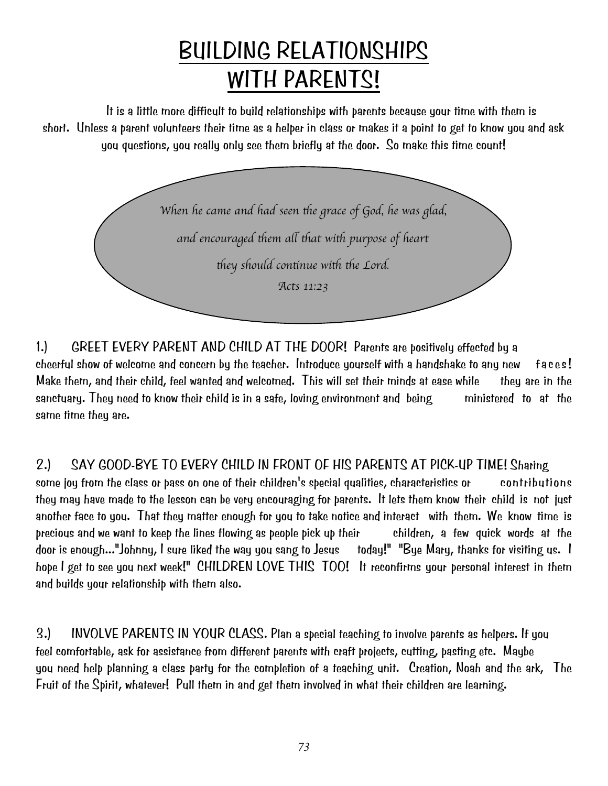# BUILDING RELATIONSHIPS WITH PARENTS!

It is a little more difficult to build relationships with parents because your time with them is short. Unless a parent volunteers their time as a helper in class or makes it a point to get to know you and ask you questions, you really only see them briefly at the door. So make this time count!



1.) GREET EVERY PARENT AND CHILD AT THE DOOR! Parents are positively effected by a cheerful show of welcome and concern by the teacher. Introduce yourself with a handshake to any new faces! Make them, and their child, feel wanted and welcomed. This will set their minds at ease while they are in the sanctuary. They need to know their child is in a safe, loving environment and being ministered to at the same time they are.

2.) SAY GOOD-BYE TO EVERY CHILD IN FRONT OF HIS PARENTS AT PICK-UP TIME! Sharing some joy from the class or pass on one of their children's special qualities, characteristics or contributions they may have made to the lesson can be very encouraging for parents. It lets them know their child is not just another face to you. That they matter enough for you to take notice and interact with them. We know time is precious and we want to keep the lines flowing as people pick up their children, a few quick words at the door is enough..."Johnny, I sure liked the way you sang to Jesus today!" "Bye Mary, thanks for visiting us. I hope I get to see you next week!" CHILDREN LOVE THIS TOO! It reconfirms your personal interest in them and builds your relationship with them also.

3.) INVOLVE PARENTS IN YOUR CLASS. Plan a special teaching to involve parents as helpers. If you feel comfortable, ask for assistance from different parents with craft projects, cutting, pasting etc. Maybe you need help planning a class party for the completion of a teaching unit. Creation, Noah and the ark, The Fruit of the Spirit, whatever! Pull them in and get them involved in what their children are learning.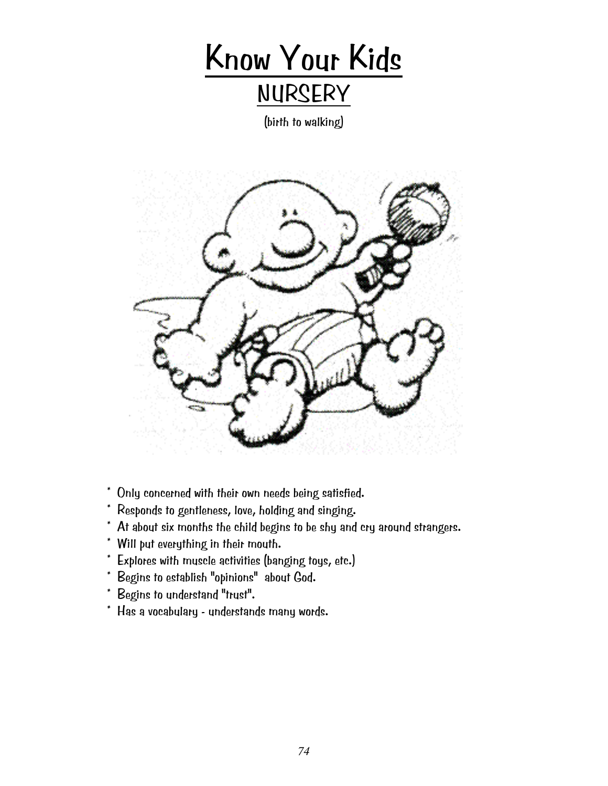

(birth to walking)



- \* Only concerned with their own needs being satisfied.
- \* Responds to gentleness, love, holding and singing.
- \* At about six months the child begins to be shy and cry around strangers.
- \* Will put everything in their mouth.
- \* Explores with muscle activities (banging toys, etc.)
- \* Begins to establish "opinions" about God.
- \* Begins to understand "trust".
- \* Has a vocabulary understands many words.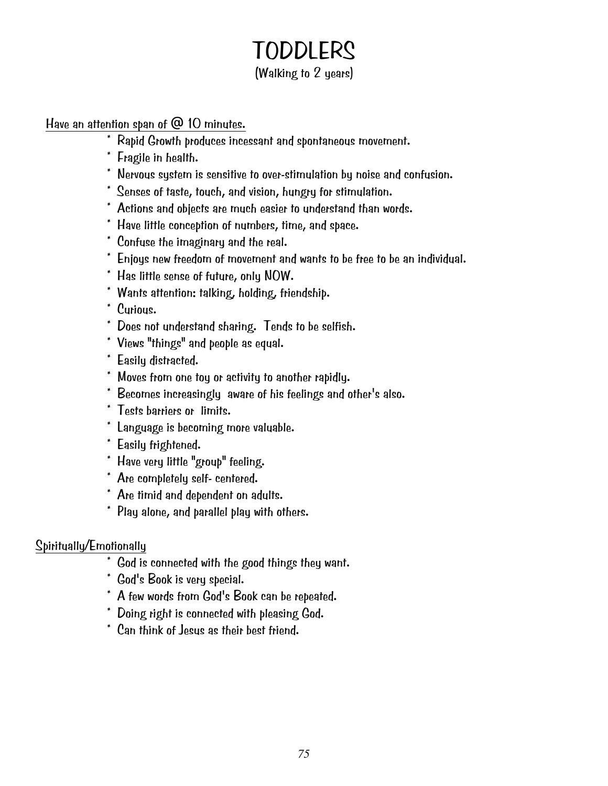# **TODDLERS**

# (Walking to 2 years)

Have an attention span of @ 10 minutes.

- \* Rapid Growth produces incessant and spontaneous movement.
- \* Fragile in health.
- \* Nervous system is sensitive to over-stimulation by noise and confusion.
- \* Senses of taste, touch, and vision, hungry for stimulation.
- \* Actions and objects are much easier to understand than words.
- \* Have little conception of numbers, time, and space.
- \* Confuse the imaginary and the real.
- \* Enjoys new freedom of movement and wants to be free to be an individual.
- \* Has little sense of future, only NOW.
- \* Wants attention: talking, holding, friendship.
- \* Curious.
- \* Does not understand sharing. Tends to be selfish.
- \* Views "things" and people as equal.
- \* Easily distracted.
- \* Moves from one toy or activity to another rapidly.
- \* Becomes increasingly aware of his feelings and other's also.
- \* Tests barriers or limits.
- \* Language is becoming more valuable.
- \* Easily frightened.
- \* Have very little "group" feeling.
- \* Are completely self- centered.
- \* Are timid and dependent on adults.
- \* Play alone, and parallel play with others.

- $*$  God is connected with the good things they want.
- \* God's Book is very special.
- \* A few words from God's Book can be repeated.
- \* Doing right is connected with pleasing God.
- \* Can think of Jesus as their best friend.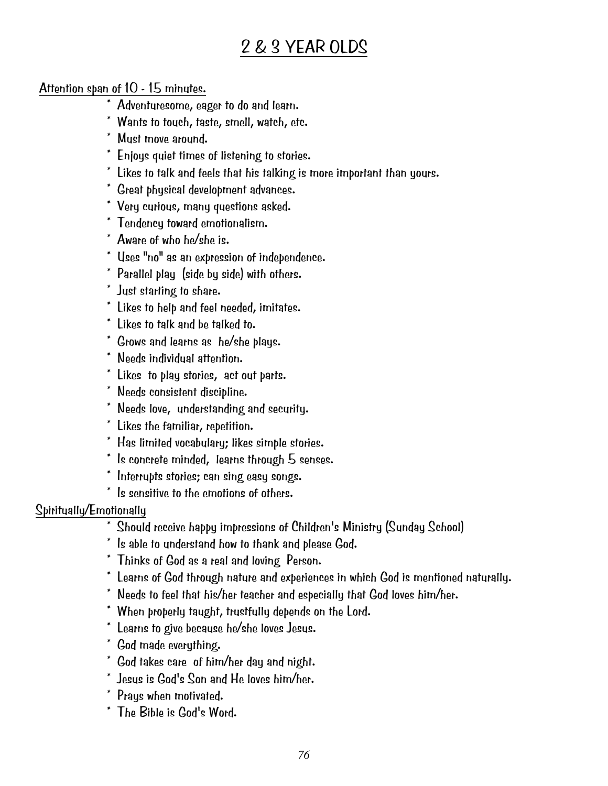# 2 & 3 YEAR OLDS

#### Attention span of 10 - 15 minutes.

- \* Adventuresome, eager to do and learn.
- \* Wants to touch, taste, smell, watch, etc.
- \* Must move around.
- \* Enjoys quiet times of listening to stories.
- \* Likes to talk and feels that his talking is more important than yours.
- \* Great physical development advances.
- \* Very curious, many questions asked.
- \* Tendency toward emotionalism.
- \* Aware of who he/she is.
- \* Uses "no" as an expression of independence.
- \* Parallel play (side by side) with others.
- \* Just starting to share.
- \* Likes to help and feel needed, imitates.
- \* Likes to talk and be talked to.
- \* Grows and learns as he/she plays.
- \* Needs individual attention.
- \* Likes to play stories, act out parts.
- \* Needs consistent discipline.
- \* Needs love, understanding and security.
- \* Likes the familiar, repetition.
- \* Has limited vocabulary; likes simple stories.
- \* Is concrete minded, learns through 5 senses.
- \* Interrupts stories; can sing easy songs.
- \* Is sensitive to the emotions of others.

- $\overline{\phantom{a}^*}$  Should receive happy impressions of Children's Ministry (Sunday School)
- \* Is able to understand how to thank and please God.
- \* Thinks of God as a real and loving Person.
- \* Learns of God through nature and experiences in which God is mentioned naturally.
- \* Needs to feel that his/her teacher and especially that God loves him/her.
- \* When properly taught, trustfully depends on the Lord.
- \* Learns to give because he/she loves Jesus.
- \* God made everything.
- \* God takes care of him/her day and night.
- \* Jesus is God's Son and He loves him/her.
- \* Prays when motivated.
- \* The Bible is God's Word.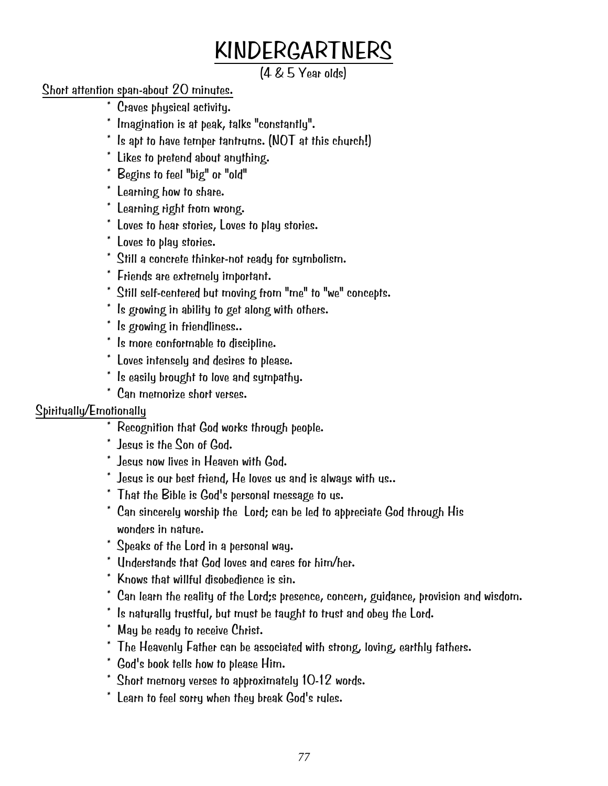# KINDERGARTNERS

(4 & 5 Year olds)

# Short attention span-about 20 minutes.

- \* Craves physical activity.
- \* Imagination is at peak, talks "constantly".
- $^*$  Is apt to have temper tantrums. (NOT at this church!)
- \* Likes to pretend about anything.
- \* Begins to feel "big" or "old"
- \* Learning how to share.
- \* Learning right from wrong.
- \* Loves to hear stories, Loves to play stories.
- \* Loves to play stories.
- \* Still a concrete thinker-not ready for symbolism.
- \* Friends are extremely important.
- \* Still self-centered but moving from "me" to "we" concepts.
- \* Is growing in ability to get along with others.
- \* Is growing in friendliness..
- \* Is more conformable to discipline.
- \* Loves intensely and desires to please.
- \* Is easily brought to love and sympathy.
- \* Can memorize short verses.

- \* Recognition that God works through people.
- \* Jesus is the Son of God.
- \* Jesus now lives in Heaven with God.
- $^\ast$  Jesus is our best friend,  ${\sf He}$  loves us and is alwaus with us..
- \* That the Bible is God's personal message to us.
- \* Can sincerely worship the Lord; can be led to appreciate God through His wonders in nature.
- \* Speaks of the Lord in a personal way.
- \* Understands that God loves and cares for him/her.
- \* Knows that willful disobedience is sin.
- \* Can learn the reality of the Lord;s presence, concern, guidance, provision and wisdom.
- \* Is naturally trustful, but must be taught to trust and obey the Lord.
- \* May be ready to receive Christ.
- \* The Heavenly Father can be associated with strong, loving, earthly fathers.
- \* God's book tells how to please Him.
- \* Short memory verses to approximately 10-12 words.
- \* Learn to feel sorry when they break God's rules.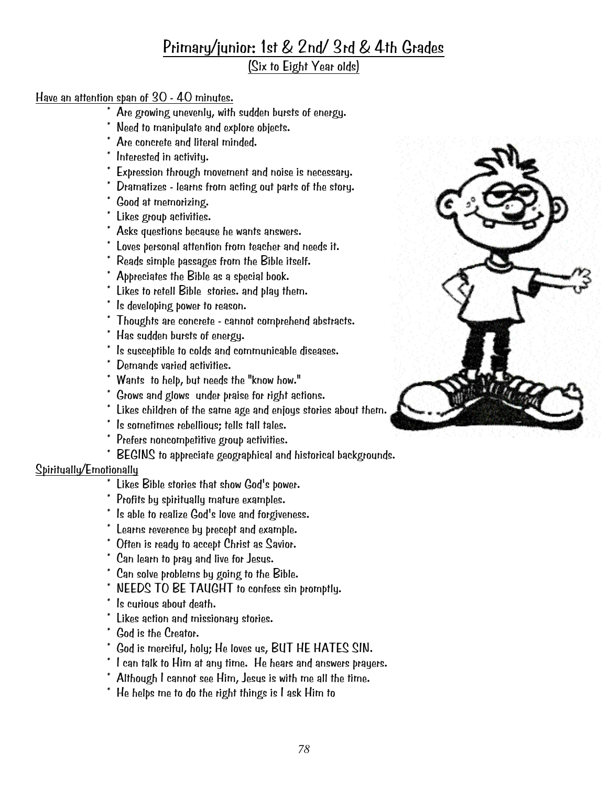# Primary/junior: 1st & 2nd/ 3rd & 4th Grades

(Six to Eight Year olds)

#### Have an attention span of 30 - 40 minutes.

- $*$  Are growing unevenly, with sudden bursts of energy.
- Need to manipulate and explore objects.
- Are concrete and literal minded.
- \* Interested in activity.
- \* Expression through movement and noise is necessary.
- \* Dramatizes learns from acting out parts of the story.
- \* Good at memorizing.
- \* Likes group activities.
- \* Asks questions because he wants answers.
- \* Loves personal attention from teacher and needs it.
- \* Reads simple passages from the Bible itself.
- \* Appreciates the Bible as a special book.
- \* Likes to retell Bible stories. and play them.
- \* Is developing power to reason.
- \* Thoughts are concrete cannot comprehend abstracts.
- \* Has sudden bursts of energy.
- \* Is susceptible to colds and communicable diseases.
- \* Demands varied activities.
- \* Wants to help, but needs the "know how."
- \* Grows and glows under praise for right actions.
- \* Likes children of the same age and enjoys stories about them.
- \* Is sometimes rebellious; tells tall tales.
- \* Prefers noncompetitive group activities.
- \* BEGINS to appreciate geographical and historical backgrounds.

- $\overline{\phantom{a}^*}$  Likes Bible stories that show God's power.
- \* Profits by spiritually mature examples.
- \* Is able to realize God's love and forgiveness.
- \* Learns reverence by precept and example.
- \* Often is ready to accept Christ as Savior.
- \* Can learn to pray and live for Jesus.
- \* Can solve problems by going to the Bible.
- \* NEEDS TO BE TAUGHT to confess sin promptly.
- \* Is curious about death.
- \* Likes action and missionary stories.
- \* God is the Creator.
- \* God is merciful, holy; He loves us, BUT HE HATES SIN.
- \* I can talk to Him at any time. He hears and answers prayers.
- \* Although I cannot see Him, Jesus is with me all the time.
- \* He helps me to do the right things is I ask Him to

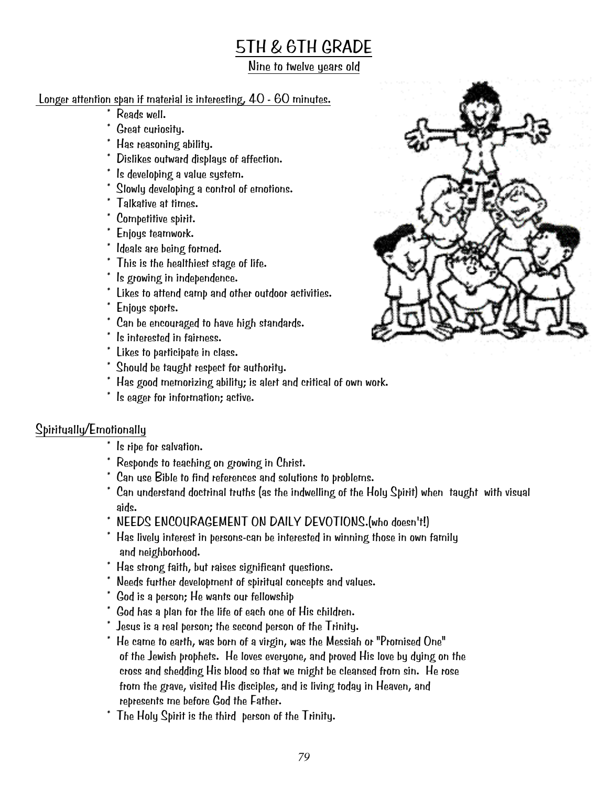# 5TH & 6TH GRADE

#### Nine to twelve years old

## Longer attention span if material is interesting, 40 - 60 minutes.

- \* Reads well.
- \* Great curiosity.
- \* Has reasoning ability.
- \* Dislikes outward displays of affection.
- \* Is developing a value system.
- \* Slowly developing a control of emotions.
- \* Talkative at times.
- \* Competitive spirit.
- \* Enjoys teamwork.
- \* Ideals are being formed.
- \* This is the healthiest stage of life.
- \* Is growing in independence.
- \* Likes to attend camp and other outdoor activities.
- \* Enjoys sports.
- \* Can be encouraged to have high standards.
- \* Is interested in fairness.
- \* Likes to participate in class.
- \* Should be taught respect for authority.
- \* Has good memorizing ability; is alert and critical of own work.
- \* Is eager for information; active.

- \* Is ripe for salvation.
- \* Responds to teaching on growing in Christ.
- \* Can use Bible to find references and solutions to problems.
- \* Can understand doctrinal truths (as the indwelling of the Holy Spirit) when taught with visual aids.
- \* NEEDS ENCOURAGEMENT ON DAILY DEVOTIONS.(who doesn't!)
- \* Has lively interest in persons-can be interested in winning those in own family and neighborhood.
- \* Has strong faith, but raises significant questions.
- \* Needs further development of spiritual concepts and values.
- \* God is a person; He wants our fellowship
- \* God has a plan for the life of each one of His children.
- \* Jesus is a real person; the second person of the Trinity.
- $*$  He came to earth, was born of a virgin, was the Messiah or "Promised One" of the Jewish prophets. He loves everyone, and proved His love by dying on the cross and shedding His blood so that we might be cleansed from sin. He rose from the grave, visited His disciples, and is living today in Heaven, and represents me before God the Father.
- \* The Holy Spirit is the third person of the Trinity.

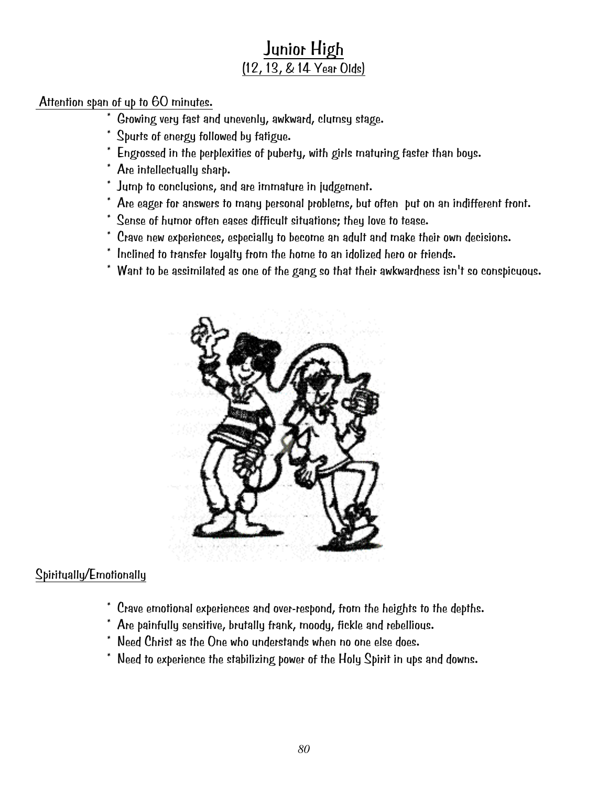# Junior High (12, 13, & 14 Year Olds)

#### Attention span of up to 60 minutes.

- \* Growing very fast and unevenly, awkward, clumsy stage.
- \* Spurts of energy followed by fatigue.
- \* Engrossed in the perplexities of puberty, with girls maturing faster than boys.
- \* Are intellectually sharp.
- \* Jump to conclusions, and are immature in judgement.
- \* Are eager for answers to many personal problems, but often put on an indifferent front.
- \* Sense of humor often eases difficult situations; they love to tease.
- \* Crave new experiences, especially to become an adult and make their own decisions.
- \* Inclined to transfer loyalty from the home to an idolized hero or friends.
- \* Want to be assimilated as one of the gang so that their awkwardness isn't so conspicuous.



- \* Crave emotional experiences and over-respond, from the heights to the depths.
- \* Are painfully sensitive, brutally frank, moody, fickle and rebellious.
- \* Need Christ as the One who understands when no one else does.
- \* Need to experience the stabilizing power of the Holy Spirit in ups and downs.